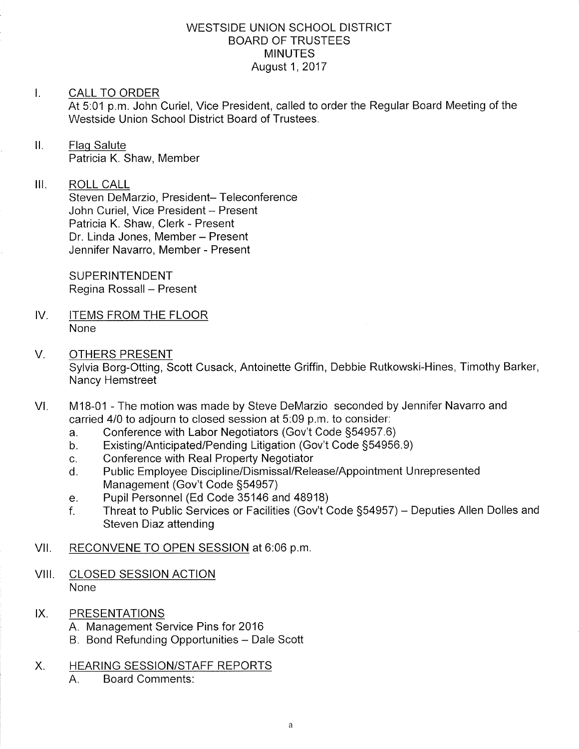## WESTSIDE UNION SCHOOL DISTRICT BOARD OF TRUSTEES **MINUTES** August 1,2017

## I. CALL TO ORDER

At 5:01 p.m. John Curiel, Vice President, called to order the Regular Board Meeting of the Westside Union School District Board of Trustees.

#### $II.$ Flaq Salute Patricia K. Shaw, Member

#### $III.$ ROLL CALL

Steven DeMarzio, President- Teleconference John Curiel, Vice President - Present Patricia K. Shaw, Clerk - Present Dr. Linda Jones, Member - Present Jennifer Navarro, Member - Present

SUPERINTENDENT Regina Rossall - Present

- IV. ITEMS FROM THE FLOOR None
- OTHERS PRESENT Sylvia Borg-Otting, Scott Cusack, Antoinette Griffin, Debbie Rutkowski-Hines, Timothy Barker, Nancy Hemstreet V
- M1B-01 The motion was made by Steve DeMarzio seconded by Jennifer Navarro and carried 4/0 to adjourn to closed session at 5:09 p.m. to consider:<br>a. Conference with Labor Negotiators (Gov't Code §54957.6) VI
	-
	- a. Conference with Labor Negotiators (Gov't Code §54957.6)<br>b. Existing/Anticipated/Pending Litigation (Gov't Code §54956.9)<br>c. Conference with Real Property Negotiator
	-
	- c. Conference with Real Property Negotiator<br>d. Public Employee Discipline/Dismissal/Release/Appointment Unrepresented Management (Gov't Code §54957)<br>Pupil Personnel (Ed Code 35146 and 48918)
	-
	- e. Pupil Personnel (Ed Code 35146 and 48918)<br>f. Threat to Public Services or Facilities (Gov't Code §54957) Deputies Allen Dolles and Steven Diaz attending

# VII. RECONVENE TO OPEN SESSION at 6:06 p.m.

- VIII. CLOSED SESSION ACTION None
- IX. PRESENTATIONS
	- A. Management Service Pins for <sup>2016</sup>
	- B. Bond Refunding Opportunities Dale Scott
- X. HEARING SESSION/STAFF REPORTS
	- A. Board Comments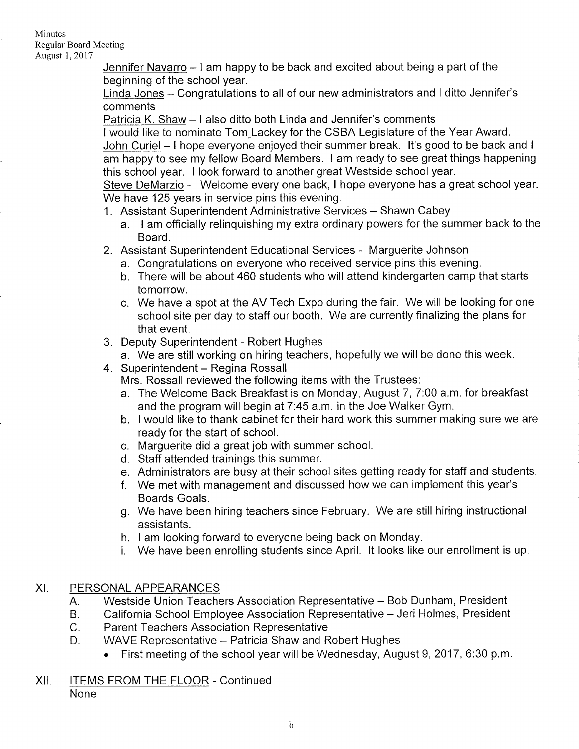#### Minutes Reguiar Board Meeting

August 1,2011

Jennifer Navarro - I am happy to be back and excited about being a part of the beginning of the school year.

Linda Jones - Congratulations to all of our new administrators and I ditto Jennifer's comments

Patricia K. Shaw - I also ditto both Linda and Jennifer's comments

I would like to nominate Tom Lackey for the CSBA Legislature of the Year Award.

John Curiel - I hope everyone enjoyed their summer break. It's good to be back and I am happy to see my fellow Board Members. I am ready to see great things happening this school year. I look forward to another great Westside school year.

Steve DeMarzio - Welcome every one back, I hope everyone has a great school year. We have 125 years in service pins this evening.

- 1. Assistant Superintendent Administrative Services Shawn Cabey
	- a. I am officially relinquishing my extra ordinary powers for the summer back to the Board.
- 2. Assistant Superintendent Educational Services Marguerite Johnson
	- a. Congratulations on everyone who received service pins this evening.
	- b. There will be about 460 students who will attend kindergarten camp that starts tomorrow.
	- c. We have a spot at the AV Tech Expo during the fair. We will be looking for one school site per day to staff our booth. We are currently finalizing the plans for that event.
- 3. Deputy Superintendent Robert Hughes
	- a. We are still working on hiring teachers, hopefully we will be done this week.
- 4. Superintendent Regina Rossall

Mrs. Rossall reviewed the following items with the Trustees:

- a. The Welcome Back Breakfast is on Monday, August 7, 7:00 a.m. for breakfast and the program will begin at 7:45 a.m. in the Joe Walker Gym.
- b. I would like to thank cabinet for their hard work this summer making sure we are ready for the start of school.
- c. Marguerite did a great job with summer school. d. Staff attended trainings this summer.
- 
- e. Administrators are busy at their school sites getting ready for staff and students. f. We met with management and discussed how we can implement this year's
- Boards Goals.
- g. We have been hiring teachers since February. We are still hiring instructional assistants.
- 
- h. <sup>I</sup>am looking forward to everyone being back on Monday. i. We have been enrolling students since April. lt looks like our enrollment is up.

# XI. PERSONAL APPEARANCES

- Westside Union Teachers Association Representative Bob Dunham, President A.
- California School Employee Association Representative Jeri Holmes, President B.
- Parent Teachers Association Representative  $C<sub>r</sub>$
- WAVE Representative Patricia Shaw and Robert Hughes D.
	- . First meeting of the school year will be Wednesday, August 9,2017, 6.30 p.m
- Xll. ITEMS FROM THE FLOOR Continued None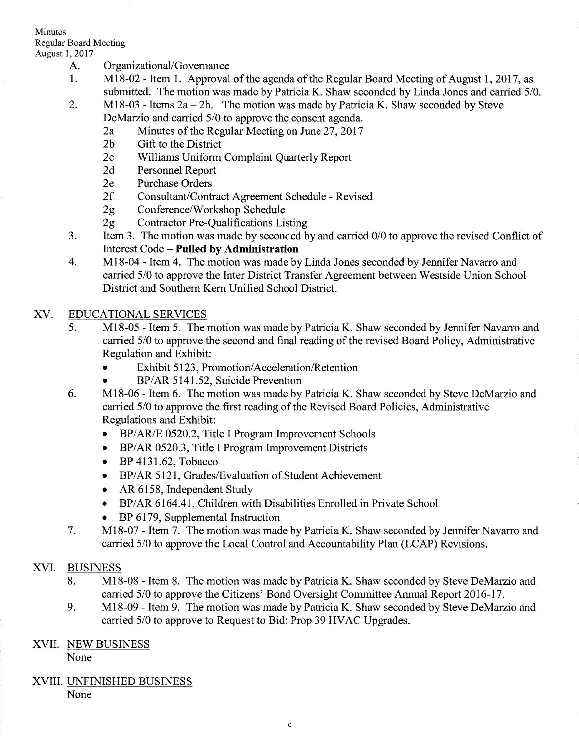## **Minutes** Regular Board Meeting

- 
- August 1, 2017<br>
A. Organizational/Governance<br>
1. Ml8-02 Item 1. Approval of the agenda of the Regular Board Meeting of August 1, 2017, as submitted. The motion was made by Patricia K. Shaw seconded by Linda Jones and carried 5/0.<br>2. M18-03 - Items  $2a - 2h$ . The motion was made by Patricia K. Shaw seconded by Steve
	- - DeMarzio and carried 5/0 to approve the consent agenda.<br>2a Minutes of the Regular Meeting on June 27, 2017<br>2b Gift to the District
		-
		- 2c Williams Uniform Complaint Quarterly Report<br>
		2d Personnel Report<br>
		2e Purchase Orders
		-
		-
		-
		-
		-
	- 2f Consultant/Contract Agreement Schedule Revised<br>
	2g Conference/Workshop Schedule<br>
	2g Contractor Pre-Qualifications Listing<br>
	3. Item 3. The motion was made by seconded by and carried 0/0 to approve the revised Conflict Interest Code - **Pulled by Administration**<br>4. M18-04 - Item 4. The motion was made by Linda Jones seconded by Jennifer Navarro and
	- carried 5/0 to approve the Inter District Transfer Agreement between Westside Union School District and Southern Kern Unified School District.

# XV. EDUCATIONALSERVICES

- 5. M18-05 Item 5. The motion was made by Patricia K. Shaw seconded by Jennifer Navarro and carried 5/0 to approve the second and final reading of the revised Board Policy, Administrative Regulation and Exhibit:
	- Exhibit 5123, Promotion/Acceleration/Retention
	- BP/AR 5141.52, Suicide Prevention
- Ml8-06 Item 6. The motion was made by Patricia K. Shaw seconded by Steve DeMarzio and carried 5/0 to approve the first reading of the Revised Board Policies, Administrative Regulations and Exhibit: 6
	- BP/AR/E 0520.2, Title I Program Improvement Schools
	- o BP/AR 0520.3, Title I Program Improvement Districts
	- $\bullet$  BP 4131.62, Tobacco
	- o BP/AR 5121, Grades/Evaluation of Student Achievement
	- AR 6158, Independent Study
	- o BP/AR 6164.4I, Children with Disabilities Enrolled in Private School
	- BP 6179, Supplemental Instruction
- Ml8-07 Item 7. The motion was made by Patricia K. Shaw seconded by Jennifer Navarro and carried 5/0 to approve the Local Control and Accountability Plan (LCAP) Revisions. 7

# XVI. BUSINESS

- 8. M18-08 Item 8. The motion was made by Patricia K. Shaw seconded by Steve DeMarzio and carried 5/0 to approve the Citizens' Bond Oversight Committee Annual Report 2016-17.
- 9. M18-09 Item 9. The motion was made by Patricia K. Shaw seconded by Steve DeMarzio and carried 5/0 to approve to Request to Bid: Prop 39 HVAC Upgrades.

# XVII. NEW BUSINESS

None

XVIII. UNFINISHED BUSINESS None